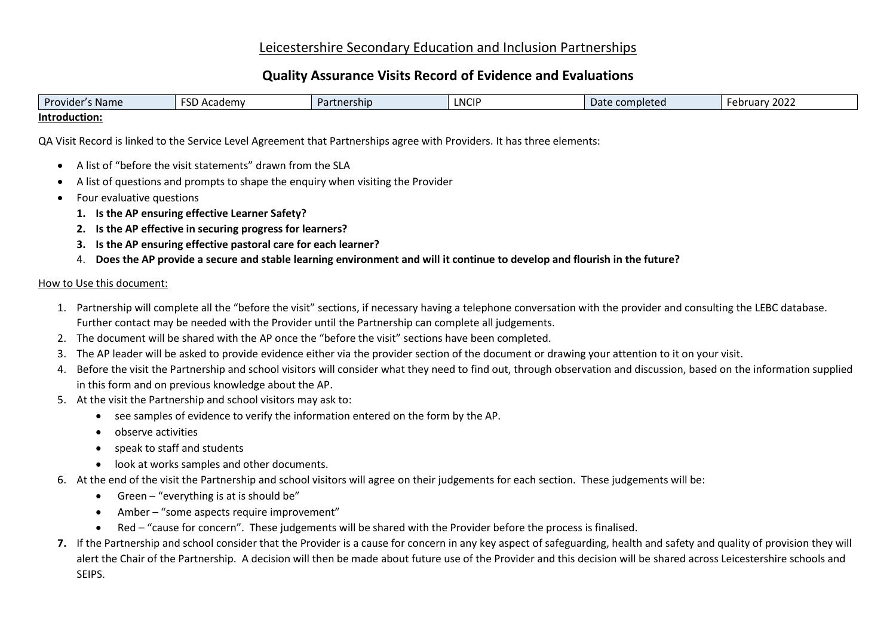# Leicestershire Secondary Education and Inclusion Partnerships

# **Quality Assurance Visits Record of Evidence and Evaluations**

| Provider<br>s Name | <b>ECD</b><br>Academy<br>שכ | Partnership | <b>NCIP</b> | Date completed | 2022<br><b>February</b> |
|--------------------|-----------------------------|-------------|-------------|----------------|-------------------------|
| Introduction:      |                             |             |             |                |                         |

QA Visit Record is linked to the Service Level Agreement that Partnerships agree with Providers. It has three elements:

- A list of "before the visit statements" drawn from the SLA
- A list of questions and prompts to shape the enquiry when visiting the Provider
- Four evaluative questions
	- **1. Is the AP ensuring effective Learner Safety?**
	- **2. Is the AP effective in securing progress for learners?**
	- **3. Is the AP ensuring effective pastoral care for each learner?**
	- 4. **Does the AP provide a secure and stable learning environment and will it continue to develop and flourish in the future?**

## How to Use this document:

- 1. Partnership will complete all the "before the visit" sections, if necessary having a telephone conversation with the provider and consulting the LEBC database. Further contact may be needed with the Provider until the Partnership can complete all judgements.
- 2. The document will be shared with the AP once the "before the visit" sections have been completed.
- 3. The AP leader will be asked to provide evidence either via the provider section of the document or drawing your attention to it on your visit.
- 4. Before the visit the Partnership and school visitors will consider what they need to find out, through observation and discussion, based on the information supplied in this form and on previous knowledge about the AP.
- 5. At the visit the Partnership and school visitors may ask to:
	- see samples of evidence to verify the information entered on the form by the AP.
	- observe activities
	- speak to staff and students
	- look at works samples and other documents.
- 6. At the end of the visit the Partnership and school visitors will agree on their judgements for each section. These judgements will be:
	- Green  $-$  "everything is at is should be"
	- Amber "some aspects require improvement"
	- Red "cause for concern". These judgements will be shared with the Provider before the process is finalised.
- **7.** If the Partnership and school consider that the Provider is a cause for concern in any key aspect of safeguarding, health and safety and quality of provision they will alert the Chair of the Partnership. A decision will then be made about future use of the Provider and this decision will be shared across Leicestershire schools and SEIPS.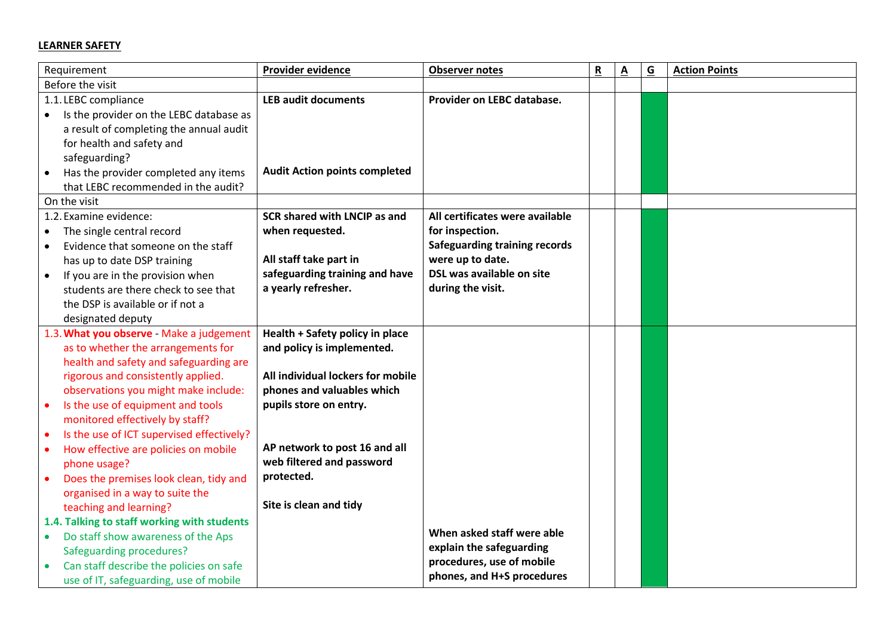## **LEARNER SAFETY**

| Requirement                                            | <b>Provider evidence</b>             | <b>Observer notes</b>                | $\underline{\mathbf{R}}$ | <u>A</u> | $\underline{\mathsf{G}}$ | <b>Action Points</b> |
|--------------------------------------------------------|--------------------------------------|--------------------------------------|--------------------------|----------|--------------------------|----------------------|
| Before the visit                                       |                                      |                                      |                          |          |                          |                      |
| 1.1. LEBC compliance                                   | <b>LEB audit documents</b>           | Provider on LEBC database.           |                          |          |                          |                      |
| Is the provider on the LEBC database as<br>$\bullet$   |                                      |                                      |                          |          |                          |                      |
| a result of completing the annual audit                |                                      |                                      |                          |          |                          |                      |
| for health and safety and                              |                                      |                                      |                          |          |                          |                      |
| safeguarding?                                          |                                      |                                      |                          |          |                          |                      |
| Has the provider completed any items<br>$\bullet$      | <b>Audit Action points completed</b> |                                      |                          |          |                          |                      |
| that LEBC recommended in the audit?                    |                                      |                                      |                          |          |                          |                      |
| On the visit                                           |                                      |                                      |                          |          |                          |                      |
| 1.2. Examine evidence:                                 | SCR shared with LNCIP as and         | All certificates were available      |                          |          |                          |                      |
| The single central record                              | when requested.                      | for inspection.                      |                          |          |                          |                      |
| Evidence that someone on the staff<br>$\bullet$        |                                      | <b>Safeguarding training records</b> |                          |          |                          |                      |
| has up to date DSP training                            | All staff take part in               | were up to date.                     |                          |          |                          |                      |
| If you are in the provision when<br>$\bullet$          | safeguarding training and have       | DSL was available on site            |                          |          |                          |                      |
| students are there check to see that                   | a yearly refresher.                  | during the visit.                    |                          |          |                          |                      |
| the DSP is available or if not a                       |                                      |                                      |                          |          |                          |                      |
| designated deputy                                      |                                      |                                      |                          |          |                          |                      |
| 1.3. What you observe - Make a judgement               | Health + Safety policy in place      |                                      |                          |          |                          |                      |
| as to whether the arrangements for                     | and policy is implemented.           |                                      |                          |          |                          |                      |
| health and safety and safeguarding are                 |                                      |                                      |                          |          |                          |                      |
| rigorous and consistently applied.                     | All individual lockers for mobile    |                                      |                          |          |                          |                      |
| observations you might make include:                   | phones and valuables which           |                                      |                          |          |                          |                      |
| Is the use of equipment and tools<br>$\bullet$         | pupils store on entry.               |                                      |                          |          |                          |                      |
| monitored effectively by staff?                        |                                      |                                      |                          |          |                          |                      |
| Is the use of ICT supervised effectively?<br>$\bullet$ |                                      |                                      |                          |          |                          |                      |
| How effective are policies on mobile<br>$\bullet$      | AP network to post 16 and all        |                                      |                          |          |                          |                      |
| phone usage?                                           | web filtered and password            |                                      |                          |          |                          |                      |
| Does the premises look clean, tidy and<br>$\bullet$    | protected.                           |                                      |                          |          |                          |                      |
| organised in a way to suite the                        |                                      |                                      |                          |          |                          |                      |
| teaching and learning?                                 | Site is clean and tidy               |                                      |                          |          |                          |                      |
| 1.4. Talking to staff working with students            |                                      |                                      |                          |          |                          |                      |
| Do staff show awareness of the Aps<br>$\bullet$        |                                      | When asked staff were able           |                          |          |                          |                      |
| Safeguarding procedures?                               |                                      | explain the safeguarding             |                          |          |                          |                      |
| Can staff describe the policies on safe                |                                      | procedures, use of mobile            |                          |          |                          |                      |
| use of IT, safeguarding, use of mobile                 |                                      | phones, and H+S procedures           |                          |          |                          |                      |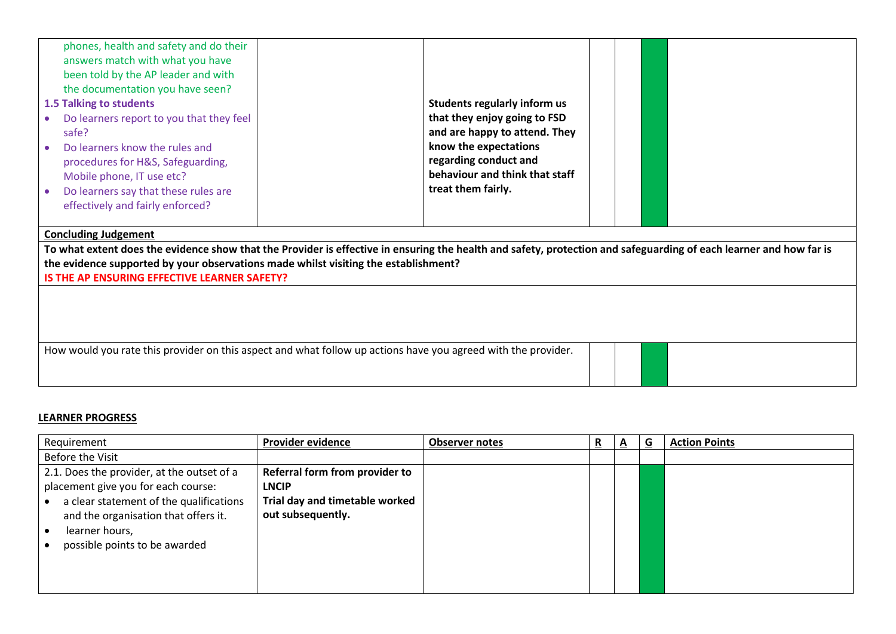| phones, health and safety and do their<br>answers match with what you have<br>been told by the AP leader and with<br>the documentation you have seen?<br>1.5 Talking to students<br>Do learners report to you that they feel<br>safe?<br>Do learners know the rules and<br>procedures for H&S, Safeguarding,<br>Mobile phone, IT use etc?<br>Do learners say that these rules are<br>effectively and fairly enforced? | Students regularly inform us<br>that they enjoy going to FSD<br>and are happy to attend. They<br>know the expectations<br>regarding conduct and<br>behaviour and think that staff<br>treat them fairly. |
|-----------------------------------------------------------------------------------------------------------------------------------------------------------------------------------------------------------------------------------------------------------------------------------------------------------------------------------------------------------------------------------------------------------------------|---------------------------------------------------------------------------------------------------------------------------------------------------------------------------------------------------------|
| <b>Concluding Judgement</b>                                                                                                                                                                                                                                                                                                                                                                                           |                                                                                                                                                                                                         |
| the evidence supported by your observations made whilst visiting the establishment?                                                                                                                                                                                                                                                                                                                                   | To what extent does the evidence show that the Provider is effective in ensuring the health and safety, protection and safeguarding of each learner and how far is                                      |
| IS THE AP ENSURING EFFECTIVE LEARNER SAFETY?                                                                                                                                                                                                                                                                                                                                                                          |                                                                                                                                                                                                         |
|                                                                                                                                                                                                                                                                                                                                                                                                                       |                                                                                                                                                                                                         |
| How would you rate this provider on this aspect and what follow up actions have you agreed with the provider.                                                                                                                                                                                                                                                                                                         |                                                                                                                                                                                                         |

## **LEARNER PROGRESS**

| Requirement                                                                                                                                                                                                             | <b>Provider evidence</b>                                                                              | <b>Observer notes</b> | $\overline{\mathbf{R}}$ | $\overline{a}$ | G | <b>Action Points</b> |
|-------------------------------------------------------------------------------------------------------------------------------------------------------------------------------------------------------------------------|-------------------------------------------------------------------------------------------------------|-----------------------|-------------------------|----------------|---|----------------------|
| Before the Visit                                                                                                                                                                                                        |                                                                                                       |                       |                         |                |   |                      |
| 2.1. Does the provider, at the outset of a<br>placement give you for each course:<br>a clear statement of the qualifications<br>and the organisation that offers it.<br>learner hours,<br>possible points to be awarded | Referral form from provider to<br><b>LNCIP</b><br>Trial day and timetable worked<br>out subsequently. |                       |                         |                |   |                      |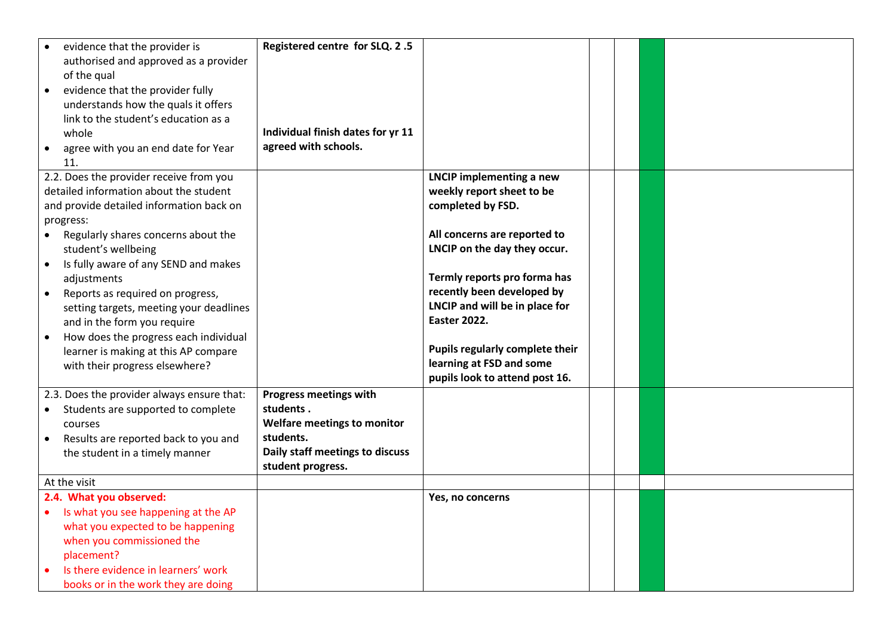| evidence that the provider is                      | Registered centre for SLQ. 2.5    |                                 |  |  |
|----------------------------------------------------|-----------------------------------|---------------------------------|--|--|
| authorised and approved as a provider              |                                   |                                 |  |  |
| of the qual                                        |                                   |                                 |  |  |
| evidence that the provider fully<br>$\bullet$      |                                   |                                 |  |  |
| understands how the quals it offers                |                                   |                                 |  |  |
| link to the student's education as a               |                                   |                                 |  |  |
| whole                                              | Individual finish dates for yr 11 |                                 |  |  |
| agree with you an end date for Year<br>$\bullet$   | agreed with schools.              |                                 |  |  |
| 11.                                                |                                   |                                 |  |  |
| 2.2. Does the provider receive from you            |                                   | <b>LNCIP implementing a new</b> |  |  |
| detailed information about the student             |                                   | weekly report sheet to be       |  |  |
| and provide detailed information back on           |                                   | completed by FSD.               |  |  |
| progress:                                          |                                   |                                 |  |  |
| $\bullet$<br>Regularly shares concerns about the   |                                   | All concerns are reported to    |  |  |
| student's wellbeing                                |                                   | LNCIP on the day they occur.    |  |  |
| Is fully aware of any SEND and makes<br>$\bullet$  |                                   |                                 |  |  |
| adjustments                                        |                                   | Termly reports pro forma has    |  |  |
| Reports as required on progress,<br>$\bullet$      |                                   | recently been developed by      |  |  |
| setting targets, meeting your deadlines            |                                   | LNCIP and will be in place for  |  |  |
| and in the form you require                        |                                   | <b>Easter 2022.</b>             |  |  |
| How does the progress each individual<br>$\bullet$ |                                   |                                 |  |  |
| learner is making at this AP compare               |                                   | Pupils regularly complete their |  |  |
| with their progress elsewhere?                     |                                   | learning at FSD and some        |  |  |
|                                                    |                                   | pupils look to attend post 16.  |  |  |
| 2.3. Does the provider always ensure that:         | Progress meetings with            |                                 |  |  |
| Students are supported to complete<br>$\bullet$    | students.                         |                                 |  |  |
| courses                                            | Welfare meetings to monitor       |                                 |  |  |
| Results are reported back to you and               | students.                         |                                 |  |  |
| the student in a timely manner                     | Daily staff meetings to discuss   |                                 |  |  |
|                                                    | student progress.                 |                                 |  |  |
| At the visit                                       |                                   |                                 |  |  |
| 2.4. What you observed:                            |                                   | Yes, no concerns                |  |  |
| Is what you see happening at the AP                |                                   |                                 |  |  |
| what you expected to be happening                  |                                   |                                 |  |  |
| when you commissioned the                          |                                   |                                 |  |  |
| placement?                                         |                                   |                                 |  |  |
| Is there evidence in learners' work                |                                   |                                 |  |  |
| books or in the work they are doing                |                                   |                                 |  |  |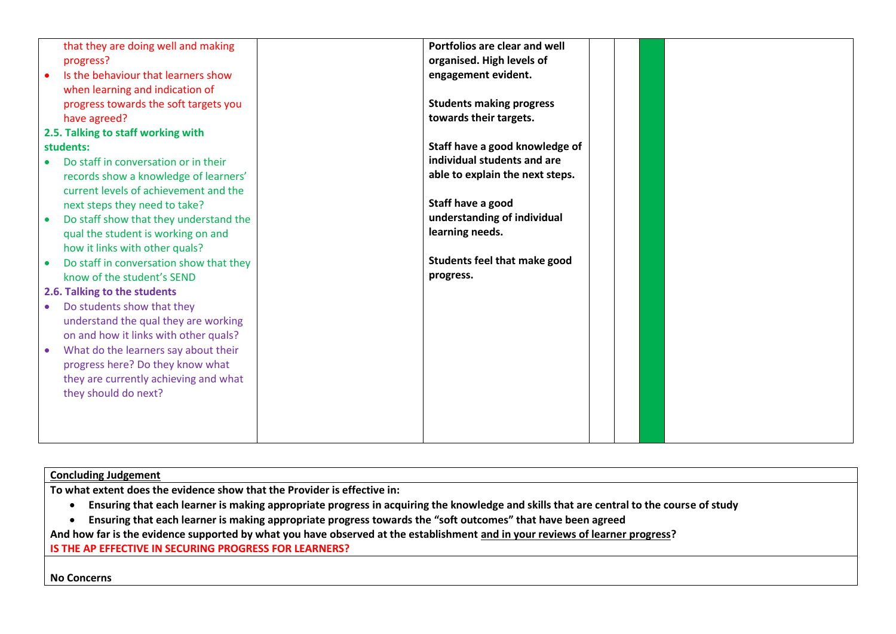| that they are doing well and making     | Portfolios are clear and well   |  |  |
|-----------------------------------------|---------------------------------|--|--|
| progress?                               | organised. High levels of       |  |  |
| Is the behaviour that learners show     | engagement evident.             |  |  |
| when learning and indication of         |                                 |  |  |
| progress towards the soft targets you   | <b>Students making progress</b> |  |  |
| have agreed?                            | towards their targets.          |  |  |
| 2.5. Talking to staff working with      |                                 |  |  |
| students:                               | Staff have a good knowledge of  |  |  |
| Do staff in conversation or in their    | individual students and are     |  |  |
| records show a knowledge of learners'   | able to explain the next steps. |  |  |
| current levels of achievement and the   |                                 |  |  |
|                                         | Staff have a good               |  |  |
| next steps they need to take?           | understanding of individual     |  |  |
| Do staff show that they understand the  |                                 |  |  |
| qual the student is working on and      | learning needs.                 |  |  |
| how it links with other quals?          |                                 |  |  |
| Do staff in conversation show that they | Students feel that make good    |  |  |
| know of the student's SEND              | progress.                       |  |  |
| 2.6. Talking to the students            |                                 |  |  |
| Do students show that they              |                                 |  |  |
| understand the qual they are working    |                                 |  |  |
| on and how it links with other quals?   |                                 |  |  |
| What do the learners say about their    |                                 |  |  |
| progress here? Do they know what        |                                 |  |  |
| they are currently achieving and what   |                                 |  |  |
| they should do next?                    |                                 |  |  |
|                                         |                                 |  |  |
|                                         |                                 |  |  |
|                                         |                                 |  |  |
|                                         |                                 |  |  |

## **Concluding Judgement**

**To what extent does the evidence show that the Provider is effective in:**

- **Ensuring that each learner is making appropriate progress in acquiring the knowledge and skills that are central to the course of study**
- **Ensuring that each learner is making appropriate progress towards the "soft outcomes" that have been agreed**

**And how far is the evidence supported by what you have observed at the establishment and in your reviews of learner progress?**

**IS THE AP EFFECTIVE IN SECURING PROGRESS FOR LEARNERS?**

**No Concerns**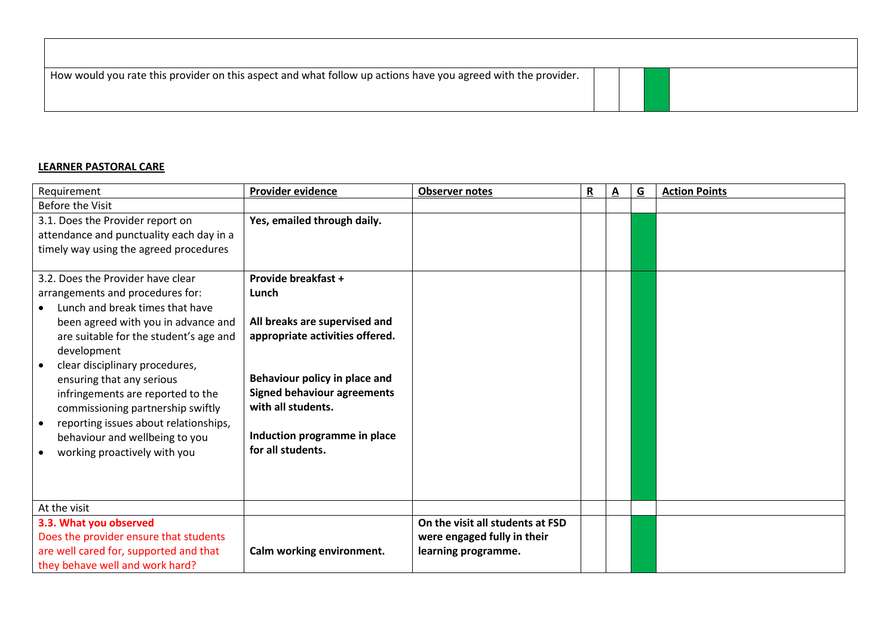| How would you rate this provider on this aspect and what follow up actions have you agreed with the provider. |  |  |
|---------------------------------------------------------------------------------------------------------------|--|--|
|                                                                                                               |  |  |

## **LEARNER PASTORAL CARE**

| Requirement                                                                                                                                                                                                                                                                                                                                                                         | <b>Provider evidence</b>                                                                                                                                                                                           | <b>Observer notes</b>            | R | $\underline{A}$ | $\overline{G}$ | <b>Action Points</b> |
|-------------------------------------------------------------------------------------------------------------------------------------------------------------------------------------------------------------------------------------------------------------------------------------------------------------------------------------------------------------------------------------|--------------------------------------------------------------------------------------------------------------------------------------------------------------------------------------------------------------------|----------------------------------|---|-----------------|----------------|----------------------|
| <b>Before the Visit</b>                                                                                                                                                                                                                                                                                                                                                             |                                                                                                                                                                                                                    |                                  |   |                 |                |                      |
| 3.1. Does the Provider report on<br>attendance and punctuality each day in a<br>timely way using the agreed procedures                                                                                                                                                                                                                                                              | Yes, emailed through daily.                                                                                                                                                                                        |                                  |   |                 |                |                      |
| 3.2. Does the Provider have clear                                                                                                                                                                                                                                                                                                                                                   | Provide breakfast +                                                                                                                                                                                                |                                  |   |                 |                |                      |
| arrangements and procedures for:                                                                                                                                                                                                                                                                                                                                                    | Lunch                                                                                                                                                                                                              |                                  |   |                 |                |                      |
| Lunch and break times that have<br>been agreed with you in advance and<br>are suitable for the student's age and<br>development<br>clear disciplinary procedures,<br>ensuring that any serious<br>infringements are reported to the<br>commissioning partnership swiftly<br>reporting issues about relationships,<br>behaviour and wellbeing to you<br>working proactively with you | All breaks are supervised and<br>appropriate activities offered.<br>Behaviour policy in place and<br><b>Signed behaviour agreements</b><br>with all students.<br>Induction programme in place<br>for all students. |                                  |   |                 |                |                      |
| At the visit                                                                                                                                                                                                                                                                                                                                                                        |                                                                                                                                                                                                                    |                                  |   |                 |                |                      |
| 3.3. What you observed                                                                                                                                                                                                                                                                                                                                                              |                                                                                                                                                                                                                    | On the visit all students at FSD |   |                 |                |                      |
| Does the provider ensure that students                                                                                                                                                                                                                                                                                                                                              |                                                                                                                                                                                                                    | were engaged fully in their      |   |                 |                |                      |
| are well cared for, supported and that                                                                                                                                                                                                                                                                                                                                              | Calm working environment.                                                                                                                                                                                          | learning programme.              |   |                 |                |                      |
| they behave well and work hard?                                                                                                                                                                                                                                                                                                                                                     |                                                                                                                                                                                                                    |                                  |   |                 |                |                      |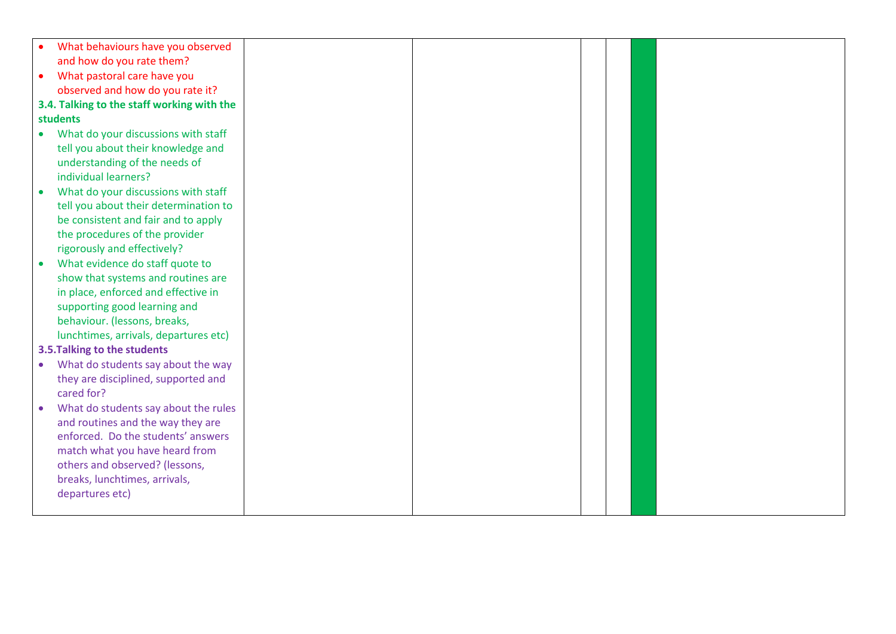|           | What behaviours have you observed          |  |  |  |
|-----------|--------------------------------------------|--|--|--|
|           | and how do you rate them?                  |  |  |  |
| $\bullet$ | What pastoral care have you                |  |  |  |
|           | observed and how do you rate it?           |  |  |  |
|           | 3.4. Talking to the staff working with the |  |  |  |
|           | students                                   |  |  |  |
| $\bullet$ | What do your discussions with staff        |  |  |  |
|           | tell you about their knowledge and         |  |  |  |
|           | understanding of the needs of              |  |  |  |
|           | individual learners?                       |  |  |  |
|           | What do your discussions with staff        |  |  |  |
|           | tell you about their determination to      |  |  |  |
|           | be consistent and fair and to apply        |  |  |  |
|           | the procedures of the provider             |  |  |  |
|           | rigorously and effectively?                |  |  |  |
|           | What evidence do staff quote to            |  |  |  |
|           | show that systems and routines are         |  |  |  |
|           | in place, enforced and effective in        |  |  |  |
|           | supporting good learning and               |  |  |  |
|           | behaviour. (lessons, breaks,               |  |  |  |
|           | lunchtimes, arrivals, departures etc)      |  |  |  |
|           | 3.5. Talking to the students               |  |  |  |
| $\bullet$ | What do students say about the way         |  |  |  |
|           | they are disciplined, supported and        |  |  |  |
|           | cared for?                                 |  |  |  |
|           | What do students say about the rules       |  |  |  |
|           | and routines and the way they are          |  |  |  |
|           | enforced. Do the students' answers         |  |  |  |
|           | match what you have heard from             |  |  |  |
|           | others and observed? (lessons,             |  |  |  |
|           | breaks, lunchtimes, arrivals,              |  |  |  |
|           | departures etc)                            |  |  |  |
|           |                                            |  |  |  |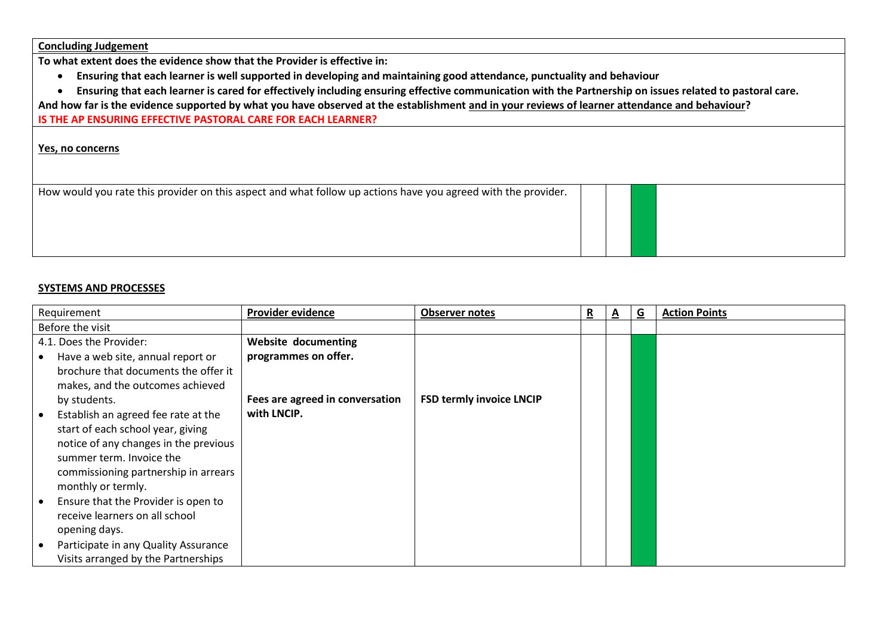**Concluding Judgement**

**To what extent does the evidence show that the Provider is effective in:**

- **Ensuring that each learner is well supported in developing and maintaining good attendance, punctuality and behaviour**
- **Ensuring that each learner is cared for effectively including ensuring effective communication with the Partnership on issues related to pastoral care.**

**And how far is the evidence supported by what you have observed at the establishment and in your reviews of learner attendance and behaviour?**

**IS THE AP ENSURING EFFECTIVE PASTORAL CARE FOR EACH LEARNER?**

**Yes, no concerns**

How would you rate this provider on this aspect and what follow up actions have you agreed with the provider.

### **SYSTEMS AND PROCESSES**

| Requirement                                      | <b>Provider evidence</b>        | <b>Observer notes</b>           | R | A | G | <b>Action Points</b> |
|--------------------------------------------------|---------------------------------|---------------------------------|---|---|---|----------------------|
| Before the visit                                 |                                 |                                 |   |   |   |                      |
| 4.1. Does the Provider:                          | <b>Website documenting</b>      |                                 |   |   |   |                      |
| Have a web site, annual report or                | programmes on offer.            |                                 |   |   |   |                      |
| brochure that documents the offer it             |                                 |                                 |   |   |   |                      |
| makes, and the outcomes achieved                 |                                 |                                 |   |   |   |                      |
| by students.                                     | Fees are agreed in conversation | <b>FSD termly invoice LNCIP</b> |   |   |   |                      |
| Establish an agreed fee rate at the              | with LNCIP.                     |                                 |   |   |   |                      |
| start of each school year, giving                |                                 |                                 |   |   |   |                      |
| notice of any changes in the previous            |                                 |                                 |   |   |   |                      |
| summer term. Invoice the                         |                                 |                                 |   |   |   |                      |
| commissioning partnership in arrears             |                                 |                                 |   |   |   |                      |
| monthly or termly.                               |                                 |                                 |   |   |   |                      |
| Ensure that the Provider is open to<br>$\bullet$ |                                 |                                 |   |   |   |                      |
| receive learners on all school                   |                                 |                                 |   |   |   |                      |
| opening days.                                    |                                 |                                 |   |   |   |                      |
| Participate in any Quality Assurance             |                                 |                                 |   |   |   |                      |
| Visits arranged by the Partnerships              |                                 |                                 |   |   |   |                      |